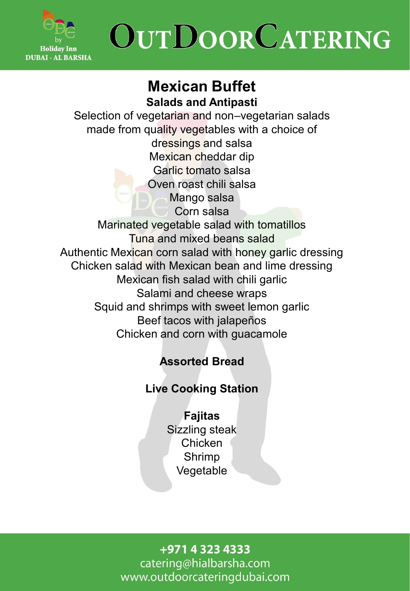

### **Mexican Buffet Salads and Antipasti**

Selection of vegetarian and non–vegetarian salads made from quality vegetables with a choice of dressings and salsa Mexican cheddar dip Garlic tomato salsa Oven roast chili salsa Mango salsa Corn salsa Marinated vegetable salad with tomatillos Tuna and mixed beans salad Authentic Mexican corn salad with honey garlic dressing Chicken salad with Mexican bean and lime dressing Mexican fish salad with chili garlic Salami and cheese wraps Squid and shrimps with sweet lemon garlic Beef tacos with jalapeños Chicken and corn with guacamole

## **Assorted Bread**

### **Live Cooking Station**

**Fajitas**  Sizzling steak Chicken Shrimp Vegetable

+971 4 323 4333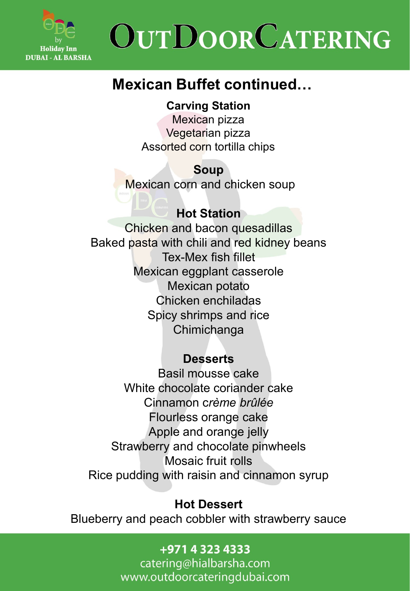

## **Mexican Buffet continued…**

**Carving Station**

Mexican pizza Vegetarian pizza Assorted corn tortilla chips

**Soup**  Mexican corn and chicken soup

**Hot Station**  Chicken and bacon quesadillas Baked pasta with chili and red kidney beans Tex-Mex fish fillet Mexican eggplant casserole Mexican potato Chicken enchiladas Spicy shrimps and rice Chimichanga ļ

### **Desserts**

Basil mousse cake White chocolate coriander cake Cinnamon c*rème brûlée* Flourless orange cake Apple and orange jelly Strawberry and chocolate pinwheels Mosaic fruit rolls Rice pudding with raisin and cinnamon syrup

### **Hot Dessert**

Blueberry and peach cobbler with strawberry sauce

+971 4 323 4333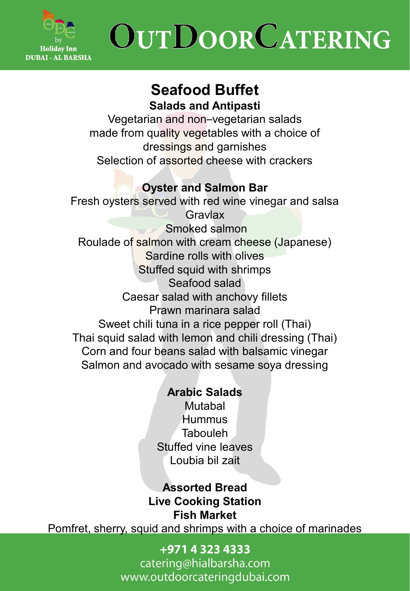

### **Seafood Buffet Salads and Antipasti**

Vegetarian and non–vegetarian salads made from quality vegetables with a choice of dressings and garnishes Selection of assorted cheese with crackers

### **Oyster and Salmon Bar**

Fresh oysters served with red wine vinegar and salsa **Gravlax** Smoked salmon Roulade of salmon with cream cheese (Japanese) Sardine rolls with olives Stuffed squid with shrimps Seafood salad Caesar salad with anchovy fillets Prawn marinara salad Sweet chili tuna in a rice pepper roll (Thai) Thai squid salad with lemon and chili dressing (Thai) Corn and four beans salad with balsamic vinegar Salmon and avocado with sesame soya dressing

### **Arabic Salads**

Mutabal **Hummus Tabouleh** Stuffed vine leaves Loubia bil zait

**Assorted Bread Live Cooking Station Fish Market**

Pomfret, sherry, squid and shrimps with a choice of marinades

### +971 4 323 4333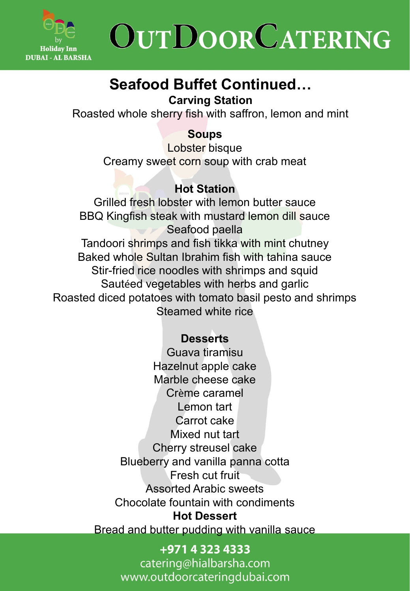

# **Seafood Buffet Continued…**

**Carving Station** 

Roasted whole sherry fish with saffron, lemon and mint

### **Soups**

Lobster bisque Creamy sweet corn soup with crab meat

### **Hot Station**

Grilled fresh lobster with lemon butter sauce BBQ Kingfish steak with mustard lemon dill sauce Seafood paella Tandoori shrimps and fish tikka with mint chutney Baked whole Sultan Ibrahim fish with tahina sauce Stir-fried rice noodles with shrimps and squid Sautéed vegetables with herbs and garlic Roasted diced potatoes with tomato basil pesto and shrimps Steamed white rice

### **Desserts**

Guava tiramisu Hazelnut apple cake Marble cheese cake Crème caramel Lemon tart Carrot cake Mixed nut tart Cherry streusel cake Blueberry and vanilla panna cotta Fresh cut fruit Assorted Arabic sweets Chocolate fountain with condiments **Hot Dessert**  Bread and butter pudding with vanilla sauce

> +971 4 323 4333 catering@hialbarsha.com www.outdoorcateringdubai.com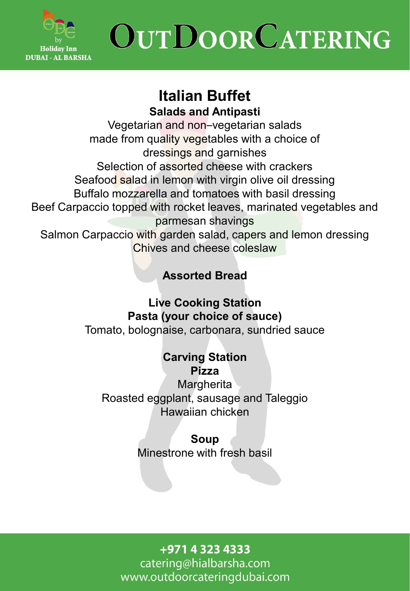

# **Italian Buffet**

**Salads and Antipasti** 

Vegetarian and non–vegetarian salads made from quality vegetables with a choice of dressings and garnishes Selection of assorted cheese with crackers Seafood salad in lemon with virgin olive oil dressing Buffalo mozzarella and tomatoes with basil dressing Beef Carpaccio topped with rocket leaves, marinated vegetables and parmesan shavings Salmon Carpaccio with garden salad, capers and lemon dressing Chives and cheese coleslaw

## **Assorted Bread**

**Live Cooking Station Pasta (your choice of sauce)** Tomato, bolognaise, carbonara, sundried sauce

#### **Carving Station Pizza**

**Margherita** Roasted eggplant, sausage and Taleggio Hawaiian chicken

### **Soup**

Minestrone with fresh basil

+971 4 323 4333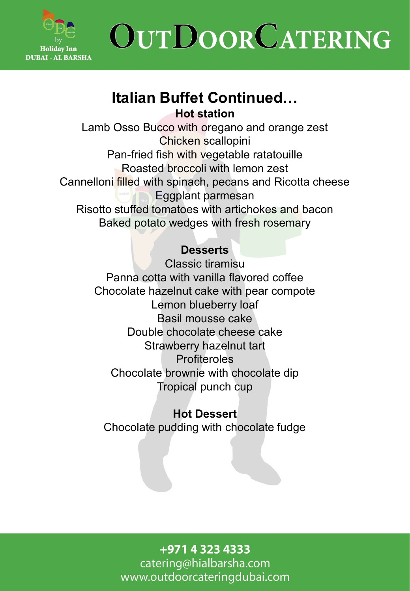

### **Italian Buffet Continued… Hot station**

Lamb Osso Bucco with oregano and orange zest Chicken scallopini Pan-fried fish with vegetable ratatouille Roasted broccoli with lemon zest Cannelloni filled with spinach, pecans and Ricotta cheese Eggplant parmesan Risotto stuffed tomatoes with artichokes and bacon Baked potato wedges with fresh rosemary

### **Desserts**

Classic tiramisu Panna cotta with vanilla flavored coffee Chocolate hazelnut cake with pear compote Lemon blueberry loaf Basil mousse cake Double chocolate cheese cake Strawberry hazelnut tart Profiteroles Chocolate brownie with chocolate dip Tropical punch cup

**Hot Dessert**  Chocolate pudding with chocolate fudge

#### +971 4 323 4333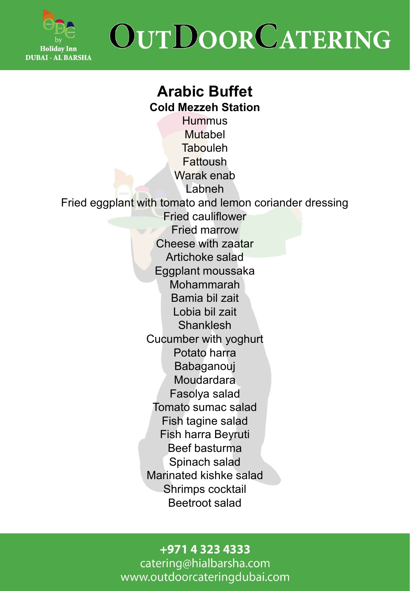

## **Arabic Buffet Cold Mezzeh Station**

**Hummus** Mutabel **Tabouleh** Fattoush Warak enab Labneh Fried eggplant with tomato and lemon coriander dressing Fried cauliflower Fried marrow Cheese with zaatar Artichoke salad Eggplant moussaka Mohammarah Bamia bil zait Lobia bil zait Shanklesh Cucumber with yoghurt Potato harra Babaganouj **Moudardara** Fasolya salad Tomato sumac salad Fish tagine salad Fish harra Beyruti Beef basturma Spinach salad Marinated kishke salad Shrimps cocktail Beetroot salad

#### +971 4 323 4333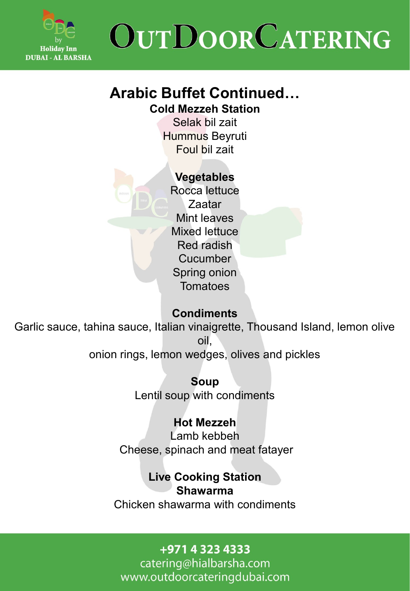

# **Arabic Buffet Continued…**

**Cold Mezzeh Station**

Selak bil zait Hummus Beyruti Foul bil zait

### **Vegetables**

Rocca lettuce Zaatar Mint leaves Mixed lettuce Red radish Cucumber Spring onion **Tomatoes** 

### **Condiments**

Garlic sauce, tahina sauce, Italian vinaigrette, Thousand Island, lemon olive oil, onion rings, lemon wedges, olives and pickles

> **Soup** Lentil soup with condiments

### **Hot Mezzeh**

Lamb kebbeh Cheese, spinach and meat fatayer

**Live Cooking Station**

#### **Shawarma**

Chicken shawarma with condiments

### +971 4 323 4333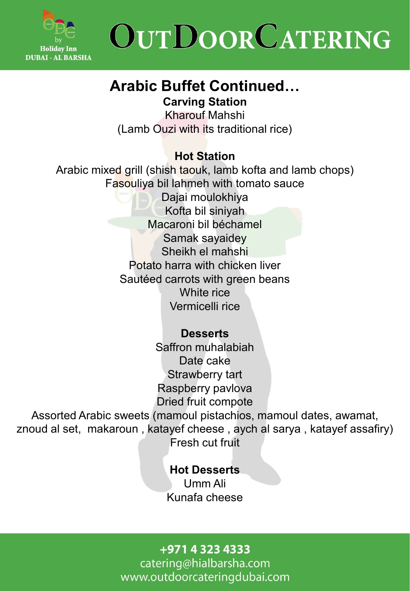

# **Arabic Buffet Continued…**

**Carving Station** 

Kharouf Mahshi (Lamb Ouzi with its traditional rice)

### **Hot Station**

Arabic mixed grill (shish taouk, lamb kofta and lamb chops) Fasouliya bil lahmeh with tomato sauce Dajai moulokhiya Kofta bil siniyah Macaroni bil béchamel Samak sayaidey Sheikh el mahshi Potato harra with chicken liver Sautéed carrots with green beans White rice Vermicelli rice

### **Desserts**

Saffron muhalabiah Date cake Strawberry tart Raspberry pavlova Dried fruit compote

Assorted Arabic sweets (mamoul pistachios, mamoul dates, awamat, znoud al set, makaroun , katayef cheese , aych al sarya , katayef assafiry) Fresh cut fruit

> **Hot Desserts** Umm Ali Kunafa cheese

### +971 4 323 4333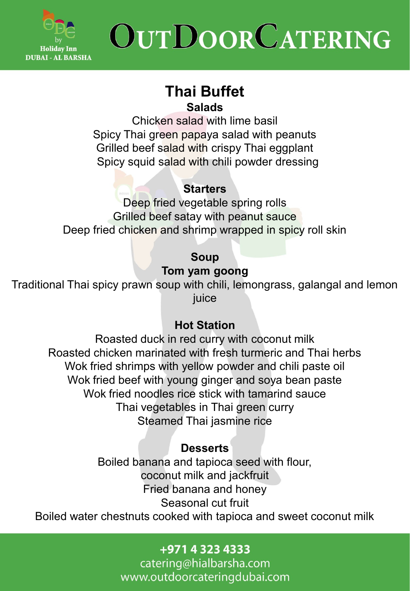

## **Thai Buffet Salads**

Chicken salad with lime basil Spicy Thai green papaya salad with peanuts Grilled beef salad with crispy Thai eggplant Spicy squid salad with chili powder dressing

### **Starters**

Deep fried vegetable spring rolls Grilled beef satay with peanut sauce Deep fried chicken and shrimp wrapped in spicy roll skin

### **Soup**

### **Tom yam goong**

Traditional Thai spicy prawn soup with chili, lemongrass, galangal and lemon juice

### **Hot Station**

Roasted duck in red curry with coconut milk Roasted chicken marinated with fresh turmeric and Thai herbs Wok fried shrimps with yellow powder and chili paste oil Wok fried beef with young ginger and soya bean paste Wok fried noodles rice stick with tamarind sauce Thai vegetables in Thai green curry Steamed Thai jasmine rice

### **Desserts**

Boiled banana and tapioca seed with flour, coconut milk and jackfruit Fried banana and honey Seasonal cut fruit

Boiled water chestnuts cooked with tapioca and sweet coconut milk

### +971 4 323 4333